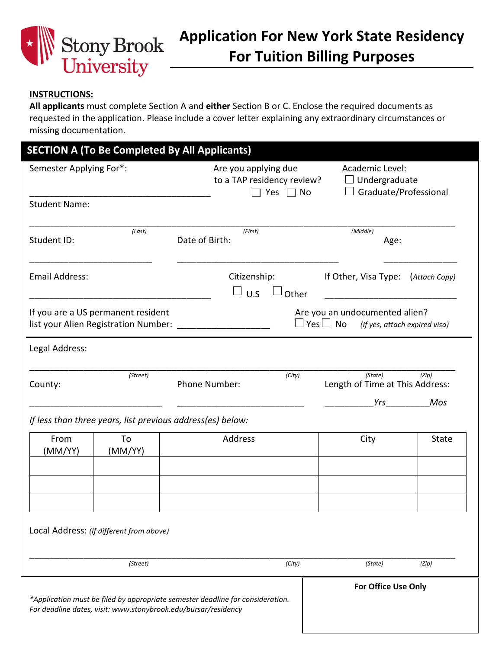

## **INSTRUCTIONS:**

**All applicants** must complete Section A and **either** Section B or C. Enclose the required documents as requested in the application. Please include a cover letter explaining any extraordinary circumstances or missing documentation.

| Semester Applying For*: |                                                            | Are you applying due<br>to a TAP residency review?<br>Yes $\Box$ No |        | Academic Level:<br>$\Box$ Undergraduate<br>Graduate/Professional                     |              |
|-------------------------|------------------------------------------------------------|---------------------------------------------------------------------|--------|--------------------------------------------------------------------------------------|--------------|
| <b>Student Name:</b>    |                                                            |                                                                     |        |                                                                                      |              |
| Student ID:             | (Last)                                                     | (First)<br>Date of Birth:                                           |        | (Middle)<br>Age:                                                                     |              |
| Email Address:          |                                                            | Citizenship:<br>$\Box$ U.S                                          | Other  | If Other, Visa Type: (Attach Copy)                                                   |              |
|                         | If you are a US permanent resident                         | list your Alien Registration Number:                                |        | Are you an undocumented alien?<br>$\Box$ Yes $\Box$ No (If yes, attach expired visa) |              |
| Legal Address:          |                                                            |                                                                     |        |                                                                                      |              |
| County:                 | (Street)                                                   | Phone Number:                                                       | (City) | (State)<br>Length of Time at This Address:                                           | (Zip)        |
|                         | If less than three years, list previous address(es) below: |                                                                     |        |                                                                                      | Yrs Mos      |
| From<br>(MM/YY)         | To<br>(MM/YY)                                              | Address                                                             |        | City                                                                                 | <b>State</b> |
|                         |                                                            |                                                                     |        |                                                                                      |              |
|                         | Local Address: (If different from above)                   |                                                                     |        |                                                                                      |              |
|                         | (Street)                                                   |                                                                     | (City) | (State)                                                                              | (Zip)        |
|                         |                                                            |                                                                     |        |                                                                                      |              |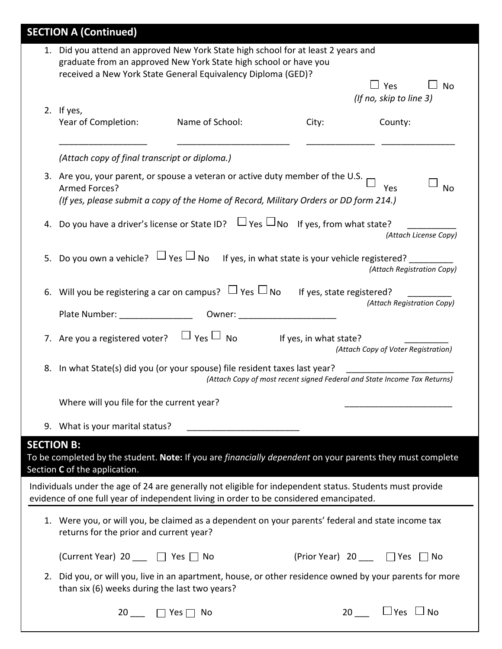|                   | <b>SECTION A (Continued)</b>                                                                                                                                                                                          |                      |                        |                                                                                 |
|-------------------|-----------------------------------------------------------------------------------------------------------------------------------------------------------------------------------------------------------------------|----------------------|------------------------|---------------------------------------------------------------------------------|
|                   | 1. Did you attend an approved New York State high school for at least 2 years and<br>graduate from an approved New York State high school or have you<br>received a New York State General Equivalency Diploma (GED)? |                      |                        |                                                                                 |
|                   | 2. If yes,                                                                                                                                                                                                            |                      |                        | $\Box$ Yes<br><b>No</b><br>(If no, skip to line 3)                              |
|                   | Year of Completion:                                                                                                                                                                                                   | Name of School:      | City:                  | County:                                                                         |
|                   | (Attach copy of final transcript or diploma.)                                                                                                                                                                         |                      |                        |                                                                                 |
|                   | 3. Are you, your parent, or spouse a veteran or active duty member of the U.S.<br>Armed Forces?<br>(If yes, please submit a copy of the Home of Record, Military Orders or DD form 214.)                              |                      |                        | Yes<br>No                                                                       |
|                   | 4. Do you have a driver's license or State ID? $\Box$ Yes $\Box$ No If yes, from what state?                                                                                                                          |                      |                        | (Attach License Copy)                                                           |
| 5.                | Do you own a vehicle? $\Box$ Yes $\Box$ No                                                                                                                                                                            |                      |                        | If yes, in what state is your vehicle registered?<br>(Attach Registration Copy) |
|                   | 6. Will you be registering a car on campus? $\Box$ Yes $\Box$ No If yes, state registered?                                                                                                                            |                      |                        | (Attach Registration Copy)                                                      |
|                   | 7. Are you a registered voter? $\Box$ Yes $\Box$ No                                                                                                                                                                   |                      | If yes, in what state? | (Attach Copy of Voter Registration)                                             |
|                   | 8. In what State(s) did you (or your spouse) file resident taxes last year?                                                                                                                                           |                      |                        | (Attach Copy of most recent signed Federal and State Income Tax Returns)        |
|                   | Where will you file for the current year?                                                                                                                                                                             |                      |                        |                                                                                 |
|                   | 9. What is your marital status?                                                                                                                                                                                       |                      |                        |                                                                                 |
| <b>SECTION B:</b> | To be completed by the student. Note: If you are financially dependent on your parents they must complete<br>Section C of the application.                                                                            |                      |                        |                                                                                 |
|                   | Individuals under the age of 24 are generally not eligible for independent status. Students must provide<br>evidence of one full year of independent living in order to be considered emancipated.                    |                      |                        |                                                                                 |
|                   | 1. Were you, or will you, be claimed as a dependent on your parents' federal and state income tax<br>returns for the prior and current year?                                                                          |                      |                        |                                                                                 |
|                   | (Current Year) 20 ___ □ Yes □ No                                                                                                                                                                                      |                      |                        | (Prior Year) 20 1 Yes ∩ No                                                      |
| 2.                | Did you, or will you, live in an apartment, house, or other residence owned by your parents for more<br>than six (6) weeks during the last two years?                                                                 |                      |                        |                                                                                 |
|                   | 20                                                                                                                                                                                                                    | $\Box$ Yes $\Box$ No |                        | 20 $\Box$ Yes $\Box$ No                                                         |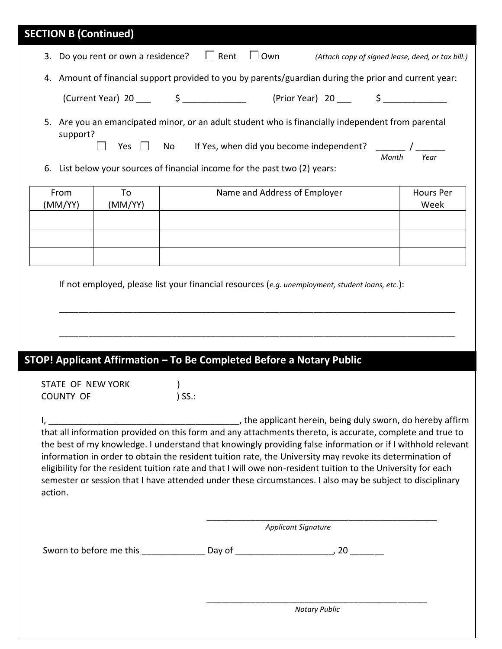| <b>SECTION B (Continued)</b> |                                                |                                                                                                                                                                                                                                                                                                                                                                                                                                                                                                                                                                    |
|------------------------------|------------------------------------------------|--------------------------------------------------------------------------------------------------------------------------------------------------------------------------------------------------------------------------------------------------------------------------------------------------------------------------------------------------------------------------------------------------------------------------------------------------------------------------------------------------------------------------------------------------------------------|
|                              | 3. Do you rent or own a residence? $\Box$ Rent | $\Box$ Own<br>(Attach copy of signed lease, deed, or tax bill.)                                                                                                                                                                                                                                                                                                                                                                                                                                                                                                    |
|                              |                                                | 4. Amount of financial support provided to you by parents/guardian during the prior and current year:                                                                                                                                                                                                                                                                                                                                                                                                                                                              |
|                              |                                                |                                                                                                                                                                                                                                                                                                                                                                                                                                                                                                                                                                    |
| 5.<br>support?<br>6.         | Yes $\Box$ No                                  | Are you an emancipated minor, or an adult student who is financially independent from parental<br>If Yes, when did you become independent? $\sqrt{$<br>Year<br>Month<br>List below your sources of financial income for the past two (2) years:                                                                                                                                                                                                                                                                                                                    |
| From                         | To                                             | Name and Address of Employer<br><b>Hours Per</b>                                                                                                                                                                                                                                                                                                                                                                                                                                                                                                                   |
| (MM/YY)                      | (MM/YY)                                        | Week                                                                                                                                                                                                                                                                                                                                                                                                                                                                                                                                                               |
|                              |                                                |                                                                                                                                                                                                                                                                                                                                                                                                                                                                                                                                                                    |
|                              |                                                |                                                                                                                                                                                                                                                                                                                                                                                                                                                                                                                                                                    |
|                              |                                                |                                                                                                                                                                                                                                                                                                                                                                                                                                                                                                                                                                    |
| <b>COUNTY OF</b>             | STATE OF NEW YORK                              | STOP! Applicant Affirmation - To Be Completed Before a Notary Public<br>$\rightarrow$<br>$)$ SS.:                                                                                                                                                                                                                                                                                                                                                                                                                                                                  |
| action.                      |                                                | that all information provided on this form and any attachments thereto, is accurate, complete and true to<br>the best of my knowledge. I understand that knowingly providing false information or if I withhold relevant<br>information in order to obtain the resident tuition rate, the University may revoke its determination of<br>eligibility for the resident tuition rate and that I will owe non-resident tuition to the University for each<br>semester or session that I have attended under these circumstances. I also may be subject to disciplinary |
|                              |                                                | <b>Applicant Signature</b>                                                                                                                                                                                                                                                                                                                                                                                                                                                                                                                                         |
|                              |                                                |                                                                                                                                                                                                                                                                                                                                                                                                                                                                                                                                                                    |
|                              |                                                |                                                                                                                                                                                                                                                                                                                                                                                                                                                                                                                                                                    |
|                              |                                                | <b>Notary Public</b>                                                                                                                                                                                                                                                                                                                                                                                                                                                                                                                                               |